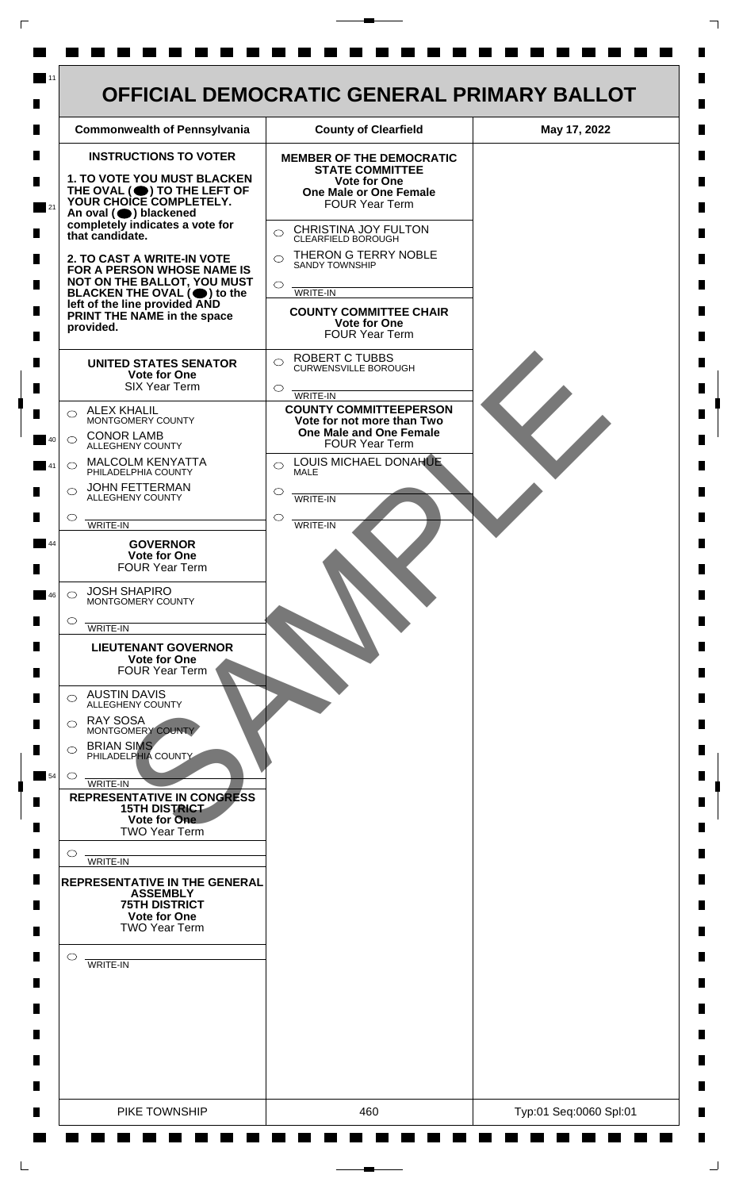

 $\mathsf{L}$